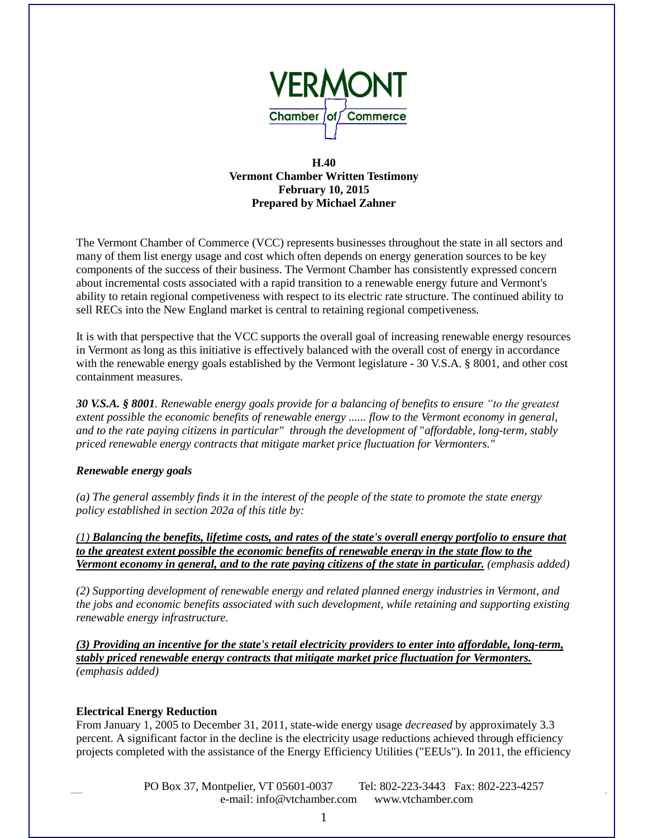

## **H.40 Vermont Chamber Written Testimony February 10, 2015 Prepared by Michael Zahner**

The Vermont Chamber of Commerce (VCC) represents businesses throughout the state in all sectors and many of them list energy usage and cost which often depends on energy generation sources to be key components of the success of their business. The Vermont Chamber has consistently expressed concern about incremental costs associated with a rapid transition to a renewable energy future and Vermont's ability to retain regional competiveness with respect to its electric rate structure. The continued ability to sell RECs into the New England market is central to retaining regional competiveness.

It is with that perspective that the VCC supports the overall goal of increasing renewable energy resources in Vermont as long as this initiative is effectively balanced with the overall cost of energy in accordance with the renewable energy goals established by the Vermont legislature - 30 V.S.A. § 8001, and other cost containment measures.

*30 V.S.A. § 8001. Renewable energy goals provide for a balancing of benefits to ensure "to the greatest extent possible the economic benefits of renewable energy ...... flow to the Vermont economy in general, and to the rate paying citizens in particular" through the development of* "*affordable, long-term, stably priced renewable energy contracts that mitigate market price fluctuation for Vermonters."* 

## *Renewable energy goals*

*(a) The general assembly finds it in the interest of the people of the state to promote the state energy policy established in section 202a of this title by:*

*(1) Balancing the benefits, lifetime costs, and rates of the state's overall energy portfolio to ensure that to the greatest extent possible the economic benefits of renewable energy in the state flow to the Vermont economy in general, and to the rate paying citizens of the state in particular. (emphasis added)*

*(2) Supporting development of renewable energy and related planned energy industries in Vermont, and the jobs and economic benefits associated with such development, while retaining and supporting existing renewable energy infrastructure.*

*(3) Providing an incentive for the state's retail electricity providers to enter into affordable, long-term, stably priced renewable energy contracts that mitigate market price fluctuation for Vermonters. (emphasis added)*

## **Electrical Energy Reduction**

From January 1, 2005 to December 31, 2011, state-wide energy usage *decreased* by approximately 3.3 percent. A significant factor in the decline is the electricity usage reductions achieved through efficiency projects completed with the assistance of the Energy Efficiency Utilities ("EEUs"). In 2011, the efficiency

> PO Box 37, Montpelier, VT 05601-0037 Tel: 802-223-3443 Fax: 802-223-4257 e-mail: info@vtchamber.com www.vtchamber.com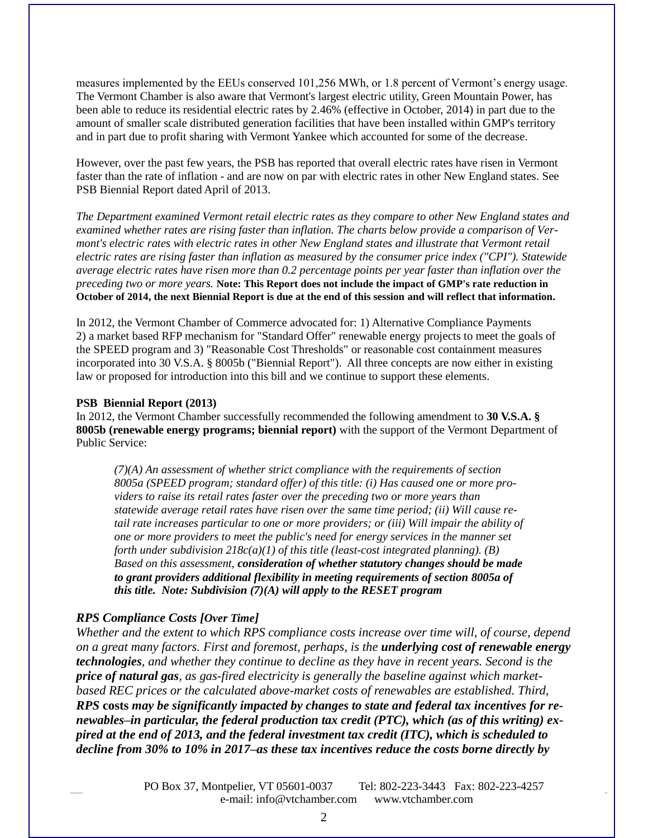measures implemented by the EEUs conserved 101,256 MWh, or 1.8 percent of Vermont's energy usage. The Vermont Chamber is also aware that Vermont's largest electric utility, Green Mountain Power, has been able to reduce its residential electric rates by 2.46% (effective in October, 2014) in part due to the amount of smaller scale distributed generation facilities that have been installed within GMP's territory and in part due to profit sharing with Vermont Yankee which accounted for some of the decrease.

However, over the past few years, the PSB has reported that overall electric rates have risen in Vermont faster than the rate of inflation - and are now on par with electric rates in other New England states. See PSB Biennial Report dated April of 2013.

*The Department examined Vermont retail electric rates as they compare to other New England states and examined whether rates are rising faster than inflation. The charts below provide a comparison of Vermont's electric rates with electric rates in other New England states and illustrate that Vermont retail electric rates are rising faster than inflation as measured by the consumer price index ("CPI"). Statewide average electric rates have risen more than 0.2 percentage points per year faster than inflation over the preceding two or more years.* **Note: This Report does not include the impact of GMP's rate reduction in October of 2014, the next Biennial Report is due at the end of this session and will reflect that information.**

In 2012, the Vermont Chamber of Commerce advocated for: 1) Alternative Compliance Payments 2) a market based RFP mechanism for "Standard Offer" renewable energy projects to meet the goals of the SPEED program and 3) "Reasonable Cost Thresholds" or reasonable cost containment measures incorporated into 30 V.S.A. § 8005b ("Biennial Report"). All three concepts are now either in existing law or proposed for introduction into this bill and we continue to support these elements.

#### **PSB Biennial Report (2013)**

In 2012, the Vermont Chamber successfully recommended the following amendment to **30 V.S.A. § 8005b (renewable energy programs; biennial report)** with the support of the Vermont Department of Public Service:

*(7)(A) An assessment of whether strict compliance with the requirements of section 8005a (SPEED program; standard offer) of this title: (i) Has caused one or more providers to raise its retail rates faster over the preceding two or more years than statewide average retail rates have risen over the same time period; (ii) Will cause retail rate increases particular to one or more providers; or (iii) Will impair the ability of one or more providers to meet the public's need for energy services in the manner set forth under subdivision 218c(a)(1) of this title (least-cost integrated planning). (B) Based on this assessment, consideration of whether statutory changes should be made to grant providers additional flexibility in meeting requirements of section 8005a of this title. Note: Subdivision (7)(A) will apply to the RESET program*

## *RPS Compliance Costs [Over Time]*

*Whether and the extent to which RPS compliance costs increase over time will, of course, depend on a great many factors. First and foremost, perhaps, is the underlying cost of renewable energy technologies, and whether they continue to decline as they have in recent years. Second is the price of natural gas, as gas-fired electricity is generally the baseline against which marketbased REC prices or the calculated above-market costs of renewables are established. Third, RPS* **costs** *may be significantly impacted by changes to state and federal tax incentives for renewables–in particular, the federal production tax credit (PTC), which (as of this writing) expired at the end of 2013, and the federal investment tax credit (ITC), which is scheduled to decline from 30% to 10% in 2017–as these tax incentives reduce the costs borne directly by*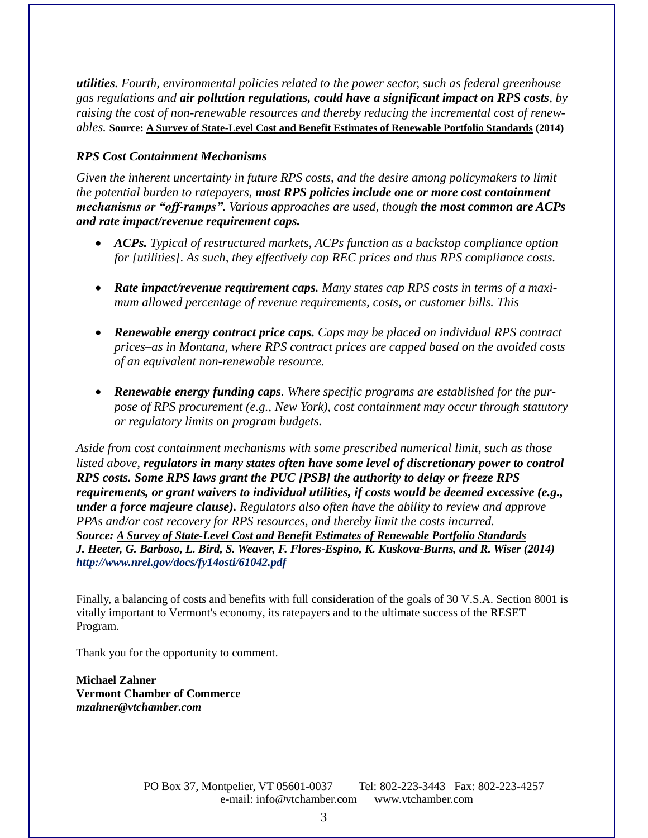*utilities. Fourth, environmental policies related to the power sector, such as federal greenhouse gas regulations and air pollution regulations, could have a significant impact on RPS costs, by raising the cost of non-renewable resources and thereby reducing the incremental cost of renewables.* **Source: A Survey of State-Level Cost and Benefit Estimates of Renewable Portfolio Standards (2014)**

# *RPS Cost Containment Mechanisms*

*Given the inherent uncertainty in future RPS costs, and the desire among policymakers to limit the potential burden to ratepayers, most RPS policies include one or more cost containment mechanisms or "off-ramps". Various approaches are used, though the most common are ACPs and rate impact/revenue requirement caps.* 

- *ACPs. Typical of restructured markets, ACPs function as a backstop compliance option for [utilities]. As such, they effectively cap REC prices and thus RPS compliance costs.*
- *Rate impact/revenue requirement caps. Many states cap RPS costs in terms of a maximum allowed percentage of revenue requirements, costs, or customer bills. This*
- *Renewable energy contract price caps. Caps may be placed on individual RPS contract prices–as in Montana, where RPS contract prices are capped based on the avoided costs of an equivalent non-renewable resource.*
- *Renewable energy funding caps. Where specific programs are established for the purpose of RPS procurement (e.g., New York), cost containment may occur through statutory or regulatory limits on program budgets.*

*Aside from cost containment mechanisms with some prescribed numerical limit, such as those listed above, regulators in many states often have some level of discretionary power to control RPS costs. Some RPS laws grant the PUC [PSB] the authority to delay or freeze RPS requirements, or grant waivers to individual utilities, if costs would be deemed excessive (e.g., under a force majeure clause). Regulators also often have the ability to review and approve PPAs and/or cost recovery for RPS resources, and thereby limit the costs incurred. Source: A Survey of State-Level Cost and Benefit Estimates of Renewable Portfolio Standards J. Heeter, G. Barboso, L. Bird, S. Weaver, F. Flores-Espino, K. Kuskova-Burns, and R. Wiser (2014) http://www.nrel.gov/docs/fy14osti/61042.pdf*

Finally, a balancing of costs and benefits with full consideration of the goals of 30 V.S.A. Section 8001 is vitally important to Vermont's economy, its ratepayers and to the ultimate success of the RESET Program.

Thank you for the opportunity to comment.

**Michael Zahner Vermont Chamber of Commerce** *mzahner@vtchamber.com*